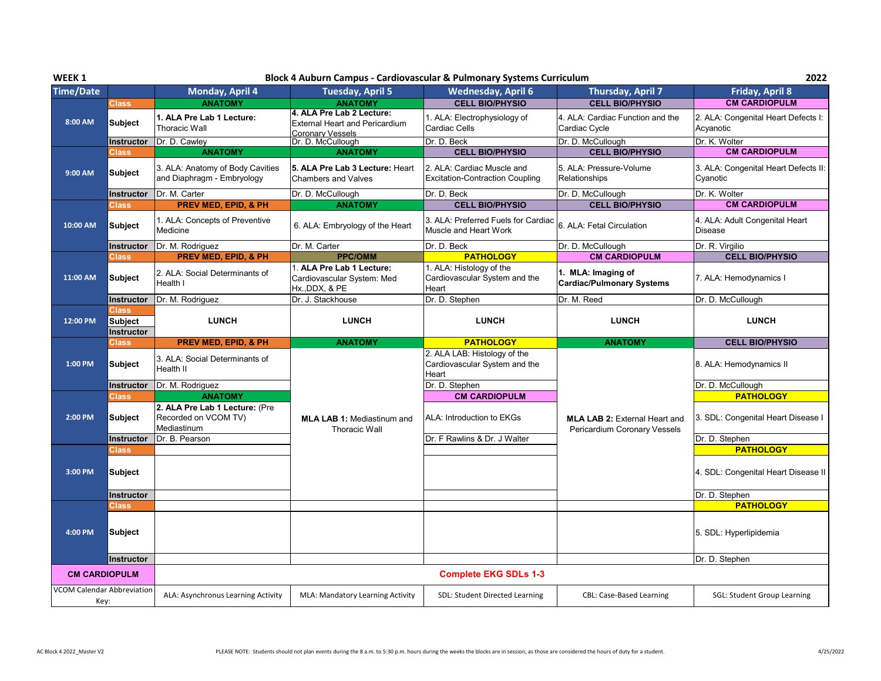| WEEK <sub>1</sub>                                         |                                              |                                                                       |                                                                                               | Block 4 Auburn Campus - Cardiovascular & Pulmonary Systems Curriculum  |                                                                      | 2022                                             |
|-----------------------------------------------------------|----------------------------------------------|-----------------------------------------------------------------------|-----------------------------------------------------------------------------------------------|------------------------------------------------------------------------|----------------------------------------------------------------------|--------------------------------------------------|
| <b>Time/Date</b>                                          |                                              | Monday, April 4                                                       | <b>Tuesday, April 5</b>                                                                       | <b>Wednesday, April 6</b>                                              | <b>Thursday, April 7</b>                                             | <b>Friday, April 8</b>                           |
|                                                           | <b>Class</b>                                 | <b>ANATOMY</b>                                                        | <b>ANATOMY</b>                                                                                | <b>CELL BIO/PHYSIO</b>                                                 | <b>CELL BIO/PHYSIO</b>                                               | <b>CM CARDIOPULM</b>                             |
| 8:00 AM                                                   | <b>Subject</b>                               | 1. ALA Pre Lab 1 Lecture:<br><b>Thoracic Wall</b>                     | 4. ALA Pre Lab 2 Lecture:<br><b>External Heart and Pericardium</b><br><b>Coronary Vessels</b> | 1. ALA: Electrophysiology of<br>Cardiac Cells                          | 4. ALA: Cardiac Function and the<br>Cardiac Cycle                    | 2. ALA: Congenital Heart Defects I:<br>Acyanotic |
|                                                           | Instructor                                   | Dr. D. Cawley                                                         | Dr. D. McCullough                                                                             | Dr. D. Beck                                                            | Dr. D. McCullough                                                    | Dr. K. Wolter                                    |
|                                                           | <b>Class</b>                                 | <b>ANATOMY</b>                                                        | <b>ANATOMY</b>                                                                                | <b>CELL BIO/PHYSIO</b>                                                 | <b>CELL BIO/PHYSIO</b>                                               | <b>CM CARDIOPULM</b>                             |
| 9:00 AM                                                   | <b>Subject</b>                               | 3. ALA: Anatomy of Body Cavities<br>and Diaphragm - Embryology        | 5. ALA Pre Lab 3 Lecture: Heart<br><b>Chambers and Valves</b>                                 | 2. ALA: Cardiac Muscle and<br><b>Excitation-Contraction Coupling</b>   | 5. ALA: Pressure-Volume<br>Relationships                             | 3. ALA: Congenital Heart Defects II:<br>Cyanotic |
|                                                           | Instructor                                   | Dr. M. Carter                                                         | Dr. D. McCullough                                                                             | Dr. D. Beck                                                            | Dr. D. McCullough                                                    | Dr. K. Wolter                                    |
|                                                           | Class                                        | PREV MED, EPID, & PH                                                  | <b>ANATOMY</b>                                                                                | <b>CELL BIO/PHYSIO</b>                                                 | <b>CELL BIO/PHYSIO</b>                                               | <b>CM CARDIOPULM</b>                             |
| 10:00 AM                                                  | <b>Subject</b>                               | 1. ALA: Concepts of Preventive<br>Medicine                            | 6. ALA: Embryology of the Heart                                                               | 3. ALA: Preferred Fuels for Cardiac<br>Muscle and Heart Work           | 6. ALA: Fetal Circulation                                            | 4. ALA: Adult Congenital Heart<br><b>Disease</b> |
|                                                           | Instructor                                   | Dr. M. Rodriguez                                                      | Dr. M. Carter                                                                                 | Dr. D. Beck                                                            | Dr. D. McCullough                                                    | Dr. R. Virgilio                                  |
|                                                           | Class                                        | <b>PREV MED, EPID, &amp; PH</b>                                       | <b>PPC/OMM</b>                                                                                | <b>PATHOLOGY</b>                                                       | <b>CM CARDIOPULM</b>                                                 | <b>CELL BIO/PHYSIO</b>                           |
| 11:00 AM                                                  | <b>Subject</b>                               | 2. ALA: Social Determinants of<br>Health I                            | 1. ALA Pre Lab 1 Lecture:<br>Cardiovascular System: Med<br>Hx., DDX, & PE                     | 1. ALA: Histology of the<br>Cardiovascular System and the<br>Heart     | 1. MLA: Imaging of<br><b>Cardiac/Pulmonary Systems</b>               | 7. ALA: Hemodynamics I                           |
|                                                           | <b>Instructor</b>                            | Dr. M. Rodriguez                                                      | Dr. J. Stackhouse                                                                             | Dr. D. Stephen                                                         | Dr. M. Reed                                                          | Dr. D. McCullough                                |
| 12:00 PM                                                  | Class<br><b>Subject</b><br><b>Instructor</b> | <b>LUNCH</b>                                                          | <b>LUNCH</b>                                                                                  | <b>LUNCH</b>                                                           | <b>LUNCH</b>                                                         | <b>LUNCH</b>                                     |
|                                                           |                                              |                                                                       |                                                                                               |                                                                        |                                                                      |                                                  |
|                                                           | Class                                        | <b>PREV MED, EPID, &amp; PH</b>                                       | <b>ANATOMY</b>                                                                                | <b>PATHOLOGY</b>                                                       | <b>ANATOMY</b>                                                       | <b>CELL BIO/PHYSIO</b>                           |
| 1:00 PM                                                   | <b>Subject</b>                               | 3. ALA: Social Determinants of<br>Health II                           |                                                                                               | 2. ALA LAB: Histology of the<br>Cardiovascular System and the<br>Heart |                                                                      | 8. ALA: Hemodynamics II                          |
|                                                           | <b>Instructor</b>                            | Dr. M. Rodriguez                                                      |                                                                                               | Dr. D. Stephen                                                         |                                                                      | Dr. D. McCullough                                |
|                                                           | <b>Class</b>                                 | <b>ANATOMY</b>                                                        |                                                                                               | <b>CM CARDIOPULM</b>                                                   |                                                                      | <b>PATHOLOGY</b>                                 |
| 2:00 PM                                                   | <b>Subject</b>                               | 2. ALA Pre Lab 1 Lecture: (Pre<br>Recorded on VCOM TV)<br>Mediastinum | <b>MLA LAB 1: Mediastinum and</b><br><b>Thoracic Wall</b>                                     | ALA: Introduction to EKGs                                              | <b>MLA LAB 2: External Heart and</b><br>Pericardium Coronary Vessels | 3. SDL: Congenital Heart Disease I               |
|                                                           | Instructor                                   | Dr. B. Pearson                                                        |                                                                                               | Dr. F Rawlins & Dr. J Walter                                           |                                                                      | Dr. D. Stephen                                   |
|                                                           | Class                                        |                                                                       |                                                                                               |                                                                        |                                                                      | <b>PATHOLOGY</b>                                 |
| 3:00 PM                                                   | <b>Subject</b>                               |                                                                       |                                                                                               |                                                                        |                                                                      | 4. SDL: Congenital Heart Disease II              |
|                                                           | Instructor                                   |                                                                       |                                                                                               |                                                                        |                                                                      | Dr. D. Stephen                                   |
|                                                           | Class                                        |                                                                       |                                                                                               |                                                                        |                                                                      | <b>PATHOLOGY</b>                                 |
| 4:00 PM                                                   | <b>Subject</b>                               |                                                                       |                                                                                               |                                                                        |                                                                      | 5. SDL: Hyperlipidemia                           |
|                                                           | Instructor                                   |                                                                       |                                                                                               |                                                                        |                                                                      | Dr. D. Stephen                                   |
| <b>CM CARDIOPULM</b><br><b>VCOM Calendar Abbreviation</b> |                                              |                                                                       |                                                                                               | <b>Complete EKG SDLs 1-3</b>                                           |                                                                      |                                                  |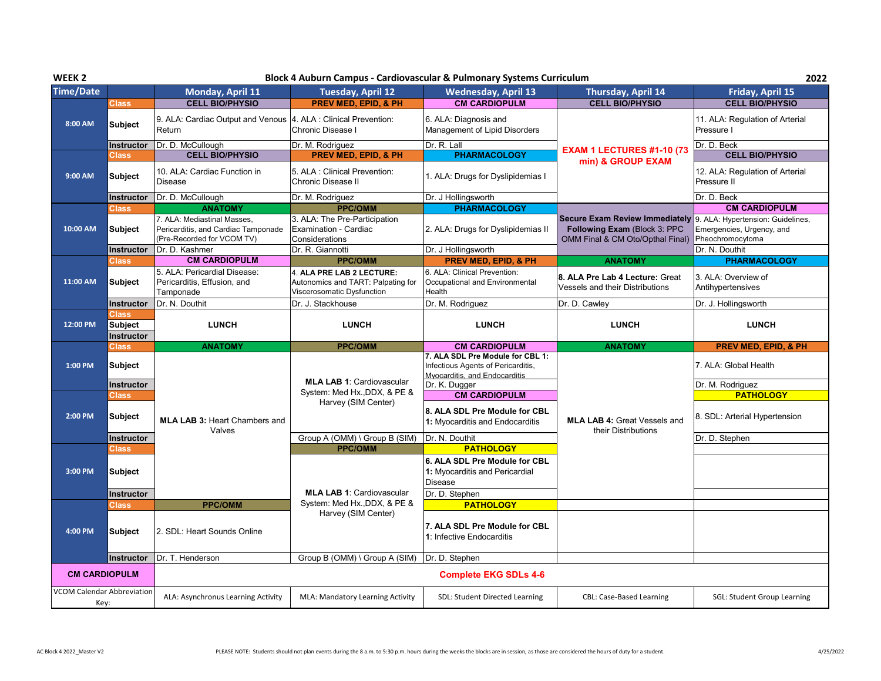| WEEK <sub>2</sub>    |                                       |                                                                                                  |                                                                                               | Block 4 Auburn Campus - Cardiovascular & Pulmonary Systems Curriculum                                   |                                                                                                           | 2022                                                                               |
|----------------------|---------------------------------------|--------------------------------------------------------------------------------------------------|-----------------------------------------------------------------------------------------------|---------------------------------------------------------------------------------------------------------|-----------------------------------------------------------------------------------------------------------|------------------------------------------------------------------------------------|
| <b>Time/Date</b>     |                                       | Monday, April 11                                                                                 | <b>Tuesday, April 12</b>                                                                      | <b>Wednesday, April 13</b>                                                                              | Thursday, April 14                                                                                        | Friday, April 15                                                                   |
|                      | <b>Class</b>                          | <b>CELL BIO/PHYSIO</b>                                                                           | <b>PREV MED, EPID, &amp; PH</b>                                                               | <b>CM CARDIOPULM</b>                                                                                    | <b>CELL BIO/PHYSIO</b>                                                                                    | <b>CELL BIO/PHYSIO</b>                                                             |
| 8:00 AM              | <b>Subject</b>                        | 9. ALA: Cardiac Output and Venous<br>Return                                                      | 4. ALA : Clinical Prevention:<br>Chronic Disease I                                            | 6. ALA: Diagnosis and<br>Management of Lipid Disorders                                                  |                                                                                                           | 11. ALA: Regulation of Arterial<br>Pressure I                                      |
|                      | Instructor                            | Dr. D. McCullough                                                                                | Dr. M. Rodriguez                                                                              | Dr. R. Lall                                                                                             | <b>EXAM 1 LECTURES #1-10 (73</b>                                                                          | Dr. D. Beck                                                                        |
|                      | Class                                 | <b>CELL BIO/PHYSIO</b>                                                                           | PREV MED, EPID, & PH                                                                          | <b>PHARMACOLOGY</b>                                                                                     | min) & GROUP EXAM                                                                                         | <b>CELL BIO/PHYSIO</b>                                                             |
| 9:00 AM              | <b>Subject</b>                        | 10. ALA: Cardiac Function in<br><b>Disease</b>                                                   | 5. ALA : Clinical Prevention:<br>Chronic Disease II                                           | 1. ALA: Drugs for Dyslipidemias I                                                                       |                                                                                                           | 12. ALA: Regulation of Arterial<br>Pressure II                                     |
|                      | <b>Instructor</b>                     | Dr. D. McCullough                                                                                | Dr. M. Rodriguez                                                                              | Dr. J Hollingsworth                                                                                     |                                                                                                           | Dr. D. Beck                                                                        |
|                      | Class                                 | <b>ANATOMY</b>                                                                                   | <b>PPC/OMM</b>                                                                                | <b>PHARMACOLOGY</b>                                                                                     |                                                                                                           | <b>CM CARDIOPULM</b>                                                               |
| 10:00 AM             | <b>Subject</b>                        | 7. ALA: Mediastinal Masses,<br>Pericarditis, and Cardiac Tamponade<br>(Pre-Recorded for VCOM TV) | 3. ALA: The Pre-Participation<br>Examination - Cardiac<br>Considerations                      | 2. ALA: Drugs for Dyslipidemias II                                                                      | <b>Secure Exam Review Immediately</b><br>Following Exam (Block 3: PPC<br>OMM Final & CM Oto/Opthal Final) | 9. ALA: Hypertension: Guidelines,<br>Emergencies, Urgency, and<br>Pheochromocytoma |
|                      | <b>Instructor</b>                     | Dr. D. Kashmer                                                                                   | Dr. R. Giannotti                                                                              | Dr. J Hollingsworth                                                                                     |                                                                                                           | Dr. N. Douthit                                                                     |
|                      | Class                                 | <b>CM CARDIOPULM</b>                                                                             | <b>PPC/OMM</b>                                                                                | <b>PREV MED, EPID, &amp; PH</b>                                                                         | <b>ANATOMY</b>                                                                                            | <b>PHARMACOLOGY</b>                                                                |
| 11:00 AM             | <b>Subject</b>                        | 5. ALA: Pericardial Disease:<br>Pericarditis, Effusion, and<br>Tamponade                         | 4. ALA PRE LAB 2 LECTURE:<br>Autonomics and TART: Palpating for<br>Viscerosomatic Dysfunction | 6. ALA: Clinical Prevention:<br>Occupational and Environmental<br>Health                                | 8. ALA Pre Lab 4 Lecture: Great<br>Vessels and their Distributions                                        | 3. ALA: Overview of<br>Antihypertensives                                           |
|                      | <b>Instructor</b>                     | Dr. N. Douthit                                                                                   | Dr. J. Stackhouse                                                                             | Dr. M. Rodriguez                                                                                        | Dr. D. Cawley                                                                                             | Dr. J. Hollingsworth                                                               |
| 12:00 PM             | Class<br><b>Subject</b><br>Instructor | <b>LUNCH</b>                                                                                     | <b>LUNCH</b>                                                                                  | <b>LUNCH</b>                                                                                            | <b>LUNCH</b>                                                                                              | <b>LUNCH</b>                                                                       |
|                      |                                       |                                                                                                  |                                                                                               |                                                                                                         |                                                                                                           |                                                                                    |
|                      |                                       | <b>ANATOMY</b>                                                                                   | <b>PPC/OMM</b>                                                                                | <b>CM CARDIOPULM</b>                                                                                    | <b>ANATOMY</b>                                                                                            | <b>PREV MED, EPID, &amp; PH</b>                                                    |
| 1:00 PM              | <b>Class</b><br><b>Subject</b>        |                                                                                                  |                                                                                               | 7. ALA SDL Pre Module for CBL 1:<br>Infectious Agents of Pericarditis,<br>Myocarditis, and Endocarditis |                                                                                                           | 7. ALA: Global Health                                                              |
|                      | <b>Instructor</b>                     |                                                                                                  | <b>MLA LAB 1: Cardiovascular</b>                                                              | Dr. K. Dugger                                                                                           |                                                                                                           | Dr. M. Rodriguez                                                                   |
|                      | Class                                 |                                                                                                  | System: Med Hx., DDX, & PE &                                                                  | <b>CM CARDIOPULM</b>                                                                                    |                                                                                                           | <b>PATHOLOGY</b>                                                                   |
| 2:00 PM              | <b>Subject</b>                        | <b>MLA LAB 3: Heart Chambers and</b>                                                             | Harvey (SIM Center)                                                                           | 8. ALA SDL Pre Module for CBL<br>1: Myocarditis and Endocarditis                                        | <b>MLA LAB 4: Great Vessels and</b>                                                                       | 8. SDL: Arterial Hypertension                                                      |
|                      | <b>Instructor</b>                     | Valves                                                                                           | Group A (OMM) \ Group B (SIM)                                                                 | Dr. N. Douthit                                                                                          | their Distributions                                                                                       | Dr. D. Stephen                                                                     |
|                      | Class                                 |                                                                                                  | <b>PPC/OMM</b>                                                                                | <b>PATHOLOGY</b>                                                                                        |                                                                                                           |                                                                                    |
| 3:00 PM              | <b>Subject</b>                        |                                                                                                  |                                                                                               | 6. ALA SDL Pre Module for CBL<br>1: Myocarditis and Pericardial<br><b>Disease</b>                       |                                                                                                           |                                                                                    |
|                      | Instructor                            |                                                                                                  | <b>MLA LAB 1: Cardiovascular</b>                                                              | Dr. D. Stephen                                                                                          |                                                                                                           |                                                                                    |
|                      | Class                                 | <b>PPC/OMM</b>                                                                                   | System: Med Hx., DDX, & PE &                                                                  | <b>PATHOLOGY</b>                                                                                        |                                                                                                           |                                                                                    |
| 4:00 PM              | <b>Subject</b>                        | 2. SDL: Heart Sounds Online                                                                      | Harvey (SIM Center)                                                                           | 7. ALA SDL Pre Module for CBL<br>1: Infective Endocarditis                                              |                                                                                                           |                                                                                    |
|                      | Instructor                            | Dr. T. Henderson                                                                                 | Group B (OMM) \ Group A (SIM)                                                                 | Dr. D. Stephen                                                                                          |                                                                                                           |                                                                                    |
| <b>CM CARDIOPULM</b> |                                       |                                                                                                  |                                                                                               | <b>Complete EKG SDLs 4-6</b>                                                                            |                                                                                                           |                                                                                    |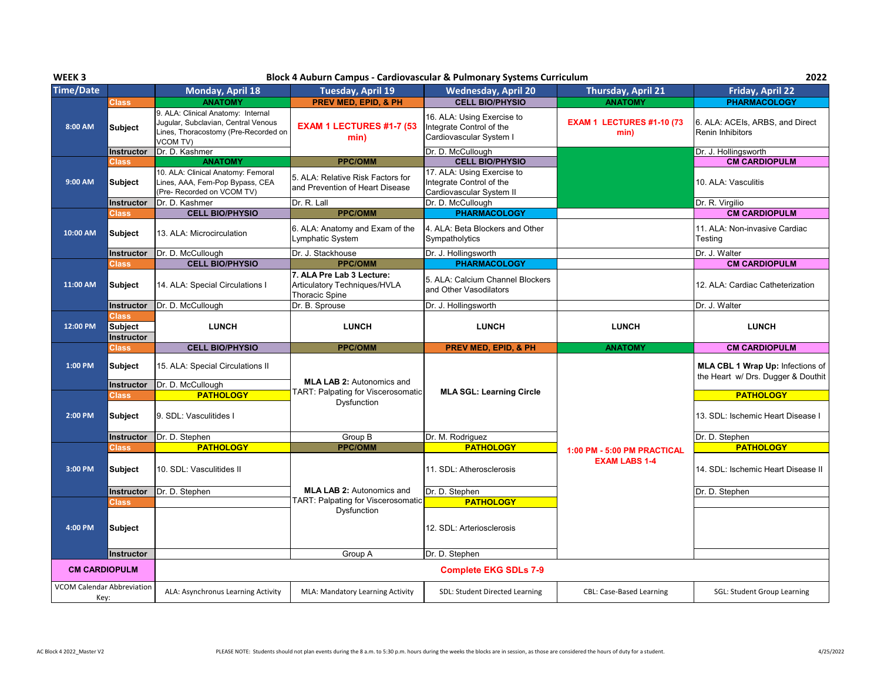| WEEK <sub>3</sub>                                         |                   |                                                                                                                                      | Block 4 Auburn Campus - Cardiovascular & Pulmonary Systems Curriculum              |                                                                                    |                                          | 2022                                                                   |
|-----------------------------------------------------------|-------------------|--------------------------------------------------------------------------------------------------------------------------------------|------------------------------------------------------------------------------------|------------------------------------------------------------------------------------|------------------------------------------|------------------------------------------------------------------------|
| <b>Time/Date</b>                                          |                   | Monday, April 18                                                                                                                     | <b>Tuesday, April 19</b>                                                           | <b>Wednesday, April 20</b>                                                         | <b>Thursday, April 21</b>                | <b>Friday, April 22</b>                                                |
|                                                           | Class             | <b>ANATOMY</b>                                                                                                                       | <b>PREV MED, EPID, &amp; PH</b>                                                    | <b>CELL BIO/PHYSIO</b>                                                             | <b>ANATOMY</b>                           | <b>PHARMACOLOGY</b>                                                    |
| 8:00 AM                                                   | <b>Subject</b>    | 9. ALA: Clinical Anatomy: Internal<br>Jugular, Subclavian, Central Venous<br>Lines, Thoracostomy (Pre-Recorded on<br><b>VCOM TV)</b> | EXAM 1 LECTURES #1-7 (53<br>min)                                                   | 16. ALA: Using Exercise to<br>Integrate Control of the<br>Cardiovascular System I  | <b>EXAM 1 LECTURES #1-10 (73</b><br>min) | 6. ALA: ACEIs, ARBS, and Direct<br><b>Renin Inhibitors</b>             |
|                                                           | <b>Instructor</b> | Dr. D. Kashmer                                                                                                                       |                                                                                    | Dr. D. McCullough                                                                  |                                          | Dr. J. Hollingsworth                                                   |
|                                                           | Class             | <b>ANATOMY</b>                                                                                                                       | <b>PPC/OMM</b>                                                                     | <b>CELL BIO/PHYSIO</b>                                                             |                                          | <b>CM CARDIOPULM</b>                                                   |
| 9:00 AM                                                   | <b>Subject</b>    | 10. ALA: Clinical Anatomy: Femoral<br>Lines, AAA, Fem-Pop Bypass, CEA<br>(Pre- Recorded on VCOM TV)                                  | 5. ALA: Relative Risk Factors for<br>and Prevention of Heart Disease               | 17. ALA: Using Exercise to<br>Integrate Control of the<br>Cardiovascular System II |                                          | 10. ALA: Vasculitis                                                    |
|                                                           | Instructor        | Dr. D. Kashmer                                                                                                                       | Dr. R. Lall                                                                        | Dr. D. McCullough                                                                  |                                          | Dr. R. Virgilio                                                        |
|                                                           | Class             | <b>CELL BIO/PHYSIO</b>                                                                                                               | <b>PPC/OMM</b>                                                                     | <b>PHARMACOLOGY</b>                                                                |                                          | <b>CM CARDIOPULM</b>                                                   |
| 10:00 AM                                                  | Subject           | 13. ALA: Microcirculation                                                                                                            | 6. ALA: Anatomy and Exam of the<br>Lymphatic System                                | 4. ALA: Beta Blockers and Other<br>Sympatholytics                                  |                                          | 11. ALA: Non-invasive Cardiac<br>Testing                               |
|                                                           | Instructor        | Dr. D. McCullough                                                                                                                    | Dr. J. Stackhouse                                                                  | Dr. J. Hollingsworth                                                               |                                          | Dr. J. Walter                                                          |
|                                                           | Class             | <b>CELL BIO/PHYSIO</b>                                                                                                               | <b>PPC/OMM</b>                                                                     | <b>PHARMACOLOGY</b>                                                                |                                          | <b>CM CARDIOPULM</b>                                                   |
| 11:00 AM                                                  | Subject           | 14. ALA: Special Circulations I                                                                                                      | 7. ALA Pre Lab 3 Lecture:<br>Articulatory Techniques/HVLA<br><b>Thoracic Spine</b> | 5. ALA: Calcium Channel Blockers<br>and Other Vasodilators                         |                                          | 12. ALA: Cardiac Catheterization                                       |
|                                                           | <b>Instructor</b> | Dr. D. McCullough                                                                                                                    | Dr. B. Sprouse                                                                     | Dr. J. Hollingsworth                                                               |                                          | Dr. J. Walter                                                          |
|                                                           | Class             |                                                                                                                                      |                                                                                    |                                                                                    |                                          |                                                                        |
| 12:00 PM                                                  | <b>Subject</b>    | <b>LUNCH</b>                                                                                                                         | <b>LUNCH</b>                                                                       | <b>LUNCH</b>                                                                       | <b>LUNCH</b>                             | <b>LUNCH</b>                                                           |
|                                                           | Instructor        |                                                                                                                                      |                                                                                    |                                                                                    |                                          |                                                                        |
|                                                           |                   |                                                                                                                                      |                                                                                    |                                                                                    |                                          |                                                                        |
|                                                           | Class             | <b>CELL BIO/PHYSIO</b>                                                                                                               | <b>PPC/OMM</b>                                                                     | PREV MED, EPID, & PH                                                               | <b>ANATOMY</b>                           | <b>CM CARDIOPULM</b>                                                   |
| 1:00 PM                                                   | <b>Subject</b>    | 15. ALA: Special Circulations II                                                                                                     |                                                                                    |                                                                                    |                                          | MLA CBL 1 Wrap Up: Infections of<br>the Heart w/ Drs. Dugger & Douthit |
|                                                           | Instructor        | Dr. D. McCullough                                                                                                                    | <b>MLA LAB 2: Autonomics and</b>                                                   |                                                                                    |                                          |                                                                        |
|                                                           | Class,            | <b>PATHOLOGY</b>                                                                                                                     | TART: Palpating for Viscerosomatic<br>Dysfunction                                  | <b>MLA SGL: Learning Circle</b>                                                    |                                          | <b>PATHOLOGY</b>                                                       |
| 2:00 PM                                                   | <b>Subject</b>    | 9. SDL: Vasculitides I                                                                                                               |                                                                                    |                                                                                    |                                          | 13. SDL: Ischemic Heart Disease I                                      |
|                                                           | <b>Instructor</b> | Dr. D. Stephen                                                                                                                       | Group B                                                                            | Dr. M. Rodriguez                                                                   |                                          | Dr. D. Stephen                                                         |
|                                                           | Class             | <b>PATHOLOGY</b>                                                                                                                     | <b>PPC/OMM</b>                                                                     | <b>PATHOLOGY</b>                                                                   | 1:00 PM - 5:00 PM PRACTICAL              | <b>PATHOLOGY</b>                                                       |
| 3:00 PM                                                   | <b>Subject</b>    | 10. SDL: Vasculitides II                                                                                                             |                                                                                    | 11. SDL: Atherosclerosis                                                           | <b>EXAM LABS 1-4</b>                     | 14. SDL: Ischemic Heart Disease II                                     |
|                                                           | <b>Instructor</b> | Dr. D. Stephen                                                                                                                       | <b>MLA LAB 2: Autonomics and</b>                                                   | Dr. D. Stephen                                                                     |                                          |                                                                        |
|                                                           | Class             |                                                                                                                                      | TART: Palpating for Viscerosomatic                                                 | <b>PATHOLOGY</b>                                                                   |                                          | Dr. D. Stephen                                                         |
| 4:00 PM                                                   | <b>Subject</b>    |                                                                                                                                      | Dysfunction                                                                        | 12. SDL: Arteriosclerosis                                                          |                                          |                                                                        |
|                                                           | <b>Instructor</b> |                                                                                                                                      | Group A                                                                            | Dr. D. Stephen                                                                     |                                          |                                                                        |
| <b>CM CARDIOPULM</b><br><b>VCOM Calendar Abbreviation</b> |                   |                                                                                                                                      |                                                                                    | <b>Complete EKG SDLs 7-9</b>                                                       |                                          |                                                                        |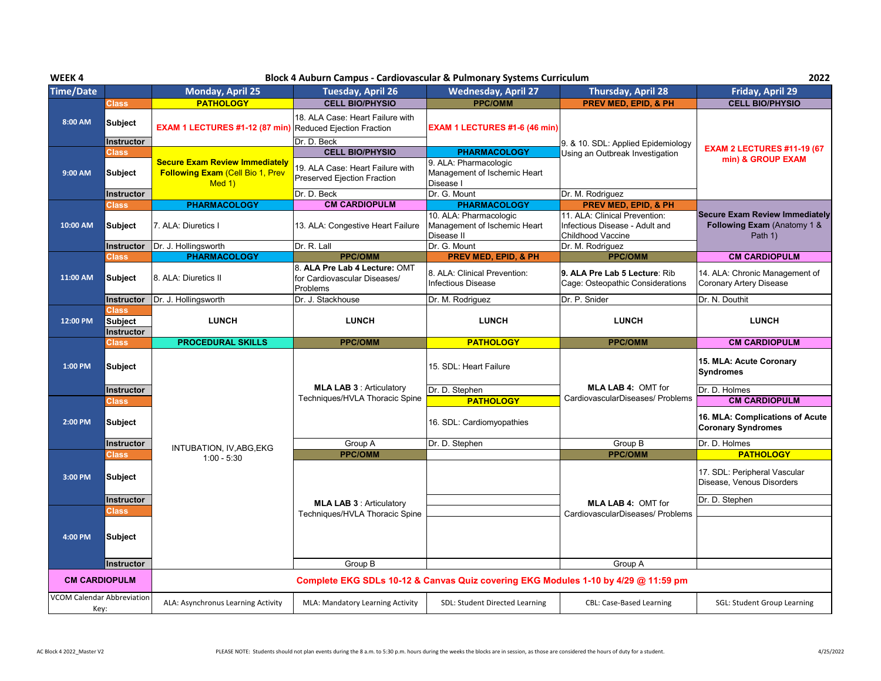| WEEK4                      |                                       |                                                                 |                                                                           | Block 4 Auburn Campus - Cardiovascular & Pulmonary Systems Curriculum              |                                                                                      | 2022                                                                     |  |
|----------------------------|---------------------------------------|-----------------------------------------------------------------|---------------------------------------------------------------------------|------------------------------------------------------------------------------------|--------------------------------------------------------------------------------------|--------------------------------------------------------------------------|--|
| <b>Time/Date</b>           |                                       | <b>Monday, April 25</b>                                         | <b>Tuesday, April 26</b>                                                  | <b>Wednesday, April 27</b>                                                         | <b>Thursday, April 28</b>                                                            | Friday, April 29                                                         |  |
|                            | <b>Class</b>                          | <b>PATHOLOGY</b>                                                | <b>CELL BIO/PHYSIO</b>                                                    | <b>PPC/OMM</b>                                                                     | <b>PREV MED. EPID. &amp; PH</b>                                                      | <b>CELL BIO/PHYSIO</b>                                                   |  |
| 8:00 AM                    | <b>Subject</b>                        | <b>EXAM 1 LECTURES #1-12 (87 min)</b> Reduced Ejection Fraction | 18. ALA Case: Heart Failure with                                          | EXAM 1 LECTURES #1-6 (46 min)                                                      |                                                                                      |                                                                          |  |
|                            | Instructor                            |                                                                 | Dr. D. Beck                                                               |                                                                                    | 9. & 10. SDL: Applied Epidemiology                                                   | <b>EXAM 2 LECTURES #11-19 (67)</b>                                       |  |
|                            | <b>Class</b>                          | <b>Secure Exam Review Immediately</b>                           | <b>CELL BIO/PHYSIO</b>                                                    | <b>PHARMACOLOGY</b><br>9. ALA: Pharmacologic                                       | Using an Outbreak Investigation                                                      | min) & GROUP EXAM                                                        |  |
| 9:00 AM                    | <b>Subject</b>                        | <b>Following Exam (Cell Bio 1, Prev</b><br>Med 1)               | 19. ALA Case: Heart Failure with<br><b>Preserved Ejection Fraction</b>    | Management of Ischemic Heart<br>Disease I                                          |                                                                                      |                                                                          |  |
|                            | Instructor                            |                                                                 | Dr. D. Beck                                                               | Dr. G. Mount                                                                       | Dr. M. Rodriguez                                                                     |                                                                          |  |
|                            | <b>Class</b>                          | <b>PHARMACOLOGY</b>                                             | <b>CM CARDIOPULM</b>                                                      | <b>PHARMACOLOGY</b>                                                                | PREV MED, EPID, & PH                                                                 |                                                                          |  |
| 10:00 AM                   | <b>Subject</b>                        | 7. ALA: Diuretics I                                             | 13. ALA: Congestive Heart Failure                                         | 10. ALA: Pharmacologic<br>Management of Ischemic Heart<br>Disease II               | 11. ALA: Clinical Prevention:<br>Infectious Disease - Adult and<br>Childhood Vaccine | Secure Exam Review Immediately<br>Following Exam (Anatomy 1 &<br>Path 1) |  |
|                            | Instructor                            | Dr. J. Hollingsworth                                            | Dr. R. Lall                                                               | Dr. G. Mount                                                                       | Dr. M. Rodriguez                                                                     |                                                                          |  |
|                            | <b>Class</b>                          | <b>PHARMACOLOGY</b>                                             | <b>PPC/OMM</b>                                                            | PREV MED, EPID, & PH                                                               | <b>PPC/OMM</b>                                                                       | <b>CM CARDIOPULM</b>                                                     |  |
| 11:00 AM                   | <b>Subject</b>                        | 8. ALA: Diuretics II                                            | 8. ALA Pre Lab 4 Lecture: OMT<br>for Cardiovascular Diseases/<br>Problems | 8. ALA: Clinical Prevention:<br>Infectious Disease                                 | 9. ALA Pre Lab 5 Lecture: Rib<br>Cage: Osteopathic Considerations                    | 14. ALA: Chronic Management of<br>Coronary Artery Disease                |  |
|                            | Instructor                            | Dr. J. Hollingsworth                                            | Dr. J. Stackhouse                                                         | Dr. M. Rodriguez                                                                   | Dr. P. Snider                                                                        | Dr. N. Douthit                                                           |  |
| 12:00 PM                   | Class<br><b>Subject</b><br>Instructor | <b>LUNCH</b>                                                    | <b>LUNCH</b>                                                              | <b>LUNCH</b>                                                                       | <b>LUNCH</b>                                                                         | <b>LUNCH</b>                                                             |  |
|                            | <b>Class</b>                          | <b>PROCEDURAL SKILLS</b>                                        | <b>PPC/OMM</b>                                                            | <b>PATHOLOGY</b>                                                                   | <b>PPC/OMM</b>                                                                       | <b>CM CARDIOPULM</b>                                                     |  |
| 1:00 PM                    | <b>Subject</b>                        |                                                                 |                                                                           | 15. SDL: Heart Failure                                                             |                                                                                      | 15. MLA: Acute Coronary<br><b>Syndromes</b>                              |  |
|                            | Instructor                            |                                                                 | <b>MLA LAB 3: Articulatory</b>                                            | Dr. D. Stephen                                                                     | <b>MLA LAB 4: OMT for</b>                                                            | Dr. D. Holmes                                                            |  |
|                            | Class                                 |                                                                 | Techniques/HVLA Thoracic Spine                                            | <b>PATHOLOGY</b>                                                                   | CardiovascularDiseases/ Problems                                                     | <b>CM CARDIOPULM</b>                                                     |  |
| 2:00 PM                    | <b>Subject</b>                        |                                                                 |                                                                           | 16. SDL: Cardiomyopathies                                                          |                                                                                      | 16. MLA: Complications of Acute<br><b>Coronary Syndromes</b>             |  |
|                            | <b>Instructor</b>                     | INTUBATION, IV, ABG, EKG                                        | Group A                                                                   | Dr. D. Stephen                                                                     | Group B                                                                              | Dr. D. Holmes                                                            |  |
|                            | Class                                 | $1:00 - 5:30$                                                   | <b>PPC/OMM</b>                                                            |                                                                                    | <b>PPC/OMM</b>                                                                       | <b>PATHOLOGY</b>                                                         |  |
| 3:00 PM                    | <b>Subject</b>                        |                                                                 |                                                                           |                                                                                    |                                                                                      | 17. SDL: Peripheral Vascular<br>Disease, Venous Disorders                |  |
|                            | <b>Instructor</b>                     |                                                                 | <b>MLA LAB 3: Articulatory</b>                                            |                                                                                    | <b>MLA LAB 4: OMT for</b>                                                            | Dr. D. Stephen                                                           |  |
|                            | <b>Class</b>                          |                                                                 | Techniques/HVLA Thoracic Spine                                            |                                                                                    | CardiovascularDiseases/ Problems                                                     |                                                                          |  |
| 4:00 PM                    | <b>Subject</b>                        |                                                                 |                                                                           |                                                                                    |                                                                                      |                                                                          |  |
|                            | Instructor                            |                                                                 | Group B                                                                   |                                                                                    | Group A                                                                              |                                                                          |  |
| <b>CM CARDIOPULM</b>       |                                       |                                                                 |                                                                           | Complete EKG SDLs 10-12 & Canvas Quiz covering EKG Modules 1-10 by 4/29 @ 11:59 pm |                                                                                      |                                                                          |  |
| VCOM Calendar Abbreviation | Key:                                  | ALA: Asynchronus Learning Activity                              | MLA: Mandatory Learning Activity                                          | SDL: Student Directed Learning                                                     | <b>CBL: Case-Based Learning</b>                                                      | <b>SGL: Student Group Learning</b>                                       |  |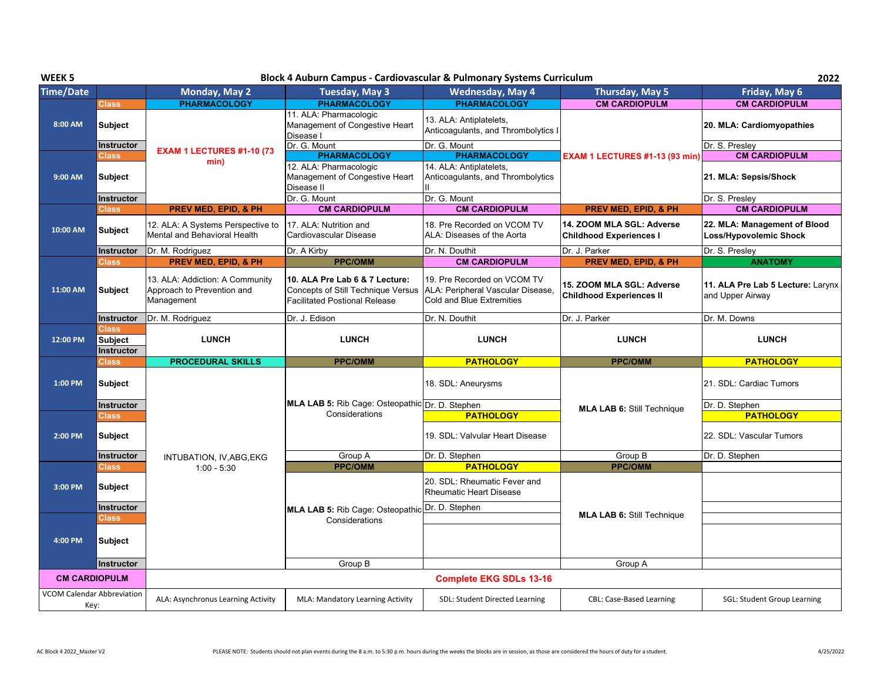| WEEK <sub>5</sub>                         |                                                           |                                                                             | Block 4 Auburn Campus - Cardiovascular & Pulmonary Systems Curriculum                                               |                                                                                                      |                                                              | 2022                                                           |
|-------------------------------------------|-----------------------------------------------------------|-----------------------------------------------------------------------------|---------------------------------------------------------------------------------------------------------------------|------------------------------------------------------------------------------------------------------|--------------------------------------------------------------|----------------------------------------------------------------|
| <b>Time/Date</b>                          |                                                           | <b>Monday, May 2</b>                                                        | Tuesday, May 3                                                                                                      | <b>Wednesday, May 4</b>                                                                              | Thursday, May 5                                              | Friday, May 6                                                  |
|                                           | <b>Class</b>                                              | <b>PHARMACOLOGY</b>                                                         | <b>PHARMACOLOGY</b>                                                                                                 | <b>PHARMACOLOGY</b>                                                                                  | <b>CM CARDIOPULM</b>                                         | <b>CM CARDIOPULM</b>                                           |
| 8:00 AM                                   | <b>Subject</b>                                            |                                                                             | 11. ALA: Pharmacologic<br>Management of Congestive Heart<br>Disease I                                               | 13. ALA: Antiplatelets.<br>Anticoagulants, and Thrombolytics I                                       |                                                              | 20. MLA: Cardiomyopathies                                      |
|                                           | <b>Instructor</b><br><b>Class</b>                         | <b>EXAM 1 LECTURES #1-10 (73</b>                                            | Dr. G. Mount<br><b>PHARMACOLOGY</b>                                                                                 | Dr. G. Mount<br><b>PHARMACOLOGY</b>                                                                  | EXAM 1 LECTURES #1-13 (93 min)                               | Dr. S. Presley<br><b>CM CARDIOPULM</b>                         |
| 9:00 AM                                   | <b>Subject</b>                                            | min)                                                                        | 12. ALA: Pharmacologic<br>Management of Congestive Heart<br>Disease II                                              | 14. ALA: Antiplatelets,<br>Anticoagulants, and Thrombolytics                                         |                                                              | 21. MLA: Sepsis/Shock                                          |
|                                           | Instructor                                                |                                                                             | Dr. G. Mount                                                                                                        | Dr. G. Mount                                                                                         |                                                              | Dr. S. Presley                                                 |
|                                           | Class                                                     | <b>PREV MED, EPID, &amp; PH</b>                                             | <b>CM CARDIOPULM</b>                                                                                                | <b>CM CARDIOPULM</b>                                                                                 | <b>PREV MED, EPID, &amp; PH</b>                              | <b>CM CARDIOPULM</b>                                           |
| 10:00 AM                                  | <b>Subject</b>                                            | 12. ALA: A Systems Perspective to<br>Mental and Behavioral Health           | 17. ALA: Nutrition and<br>Cardiovascular Disease                                                                    | 18. Pre Recorded on VCOM TV<br>ALA: Diseases of the Aorta                                            | 14. ZOOM MLA SGL: Adverse<br><b>Childhood Experiences I</b>  | 22. MLA: Management of Blood<br>Loss/Hypovolemic Shock         |
|                                           | <b>Instructor</b>                                         | Dr. M. Rodriguez                                                            | Dr. A Kirby                                                                                                         | Dr. N. Douthit                                                                                       | Dr. J. Parker                                                | Dr. S. Presley                                                 |
|                                           | Class                                                     | <b>PREV MED, EPID, &amp; PH</b>                                             | <b>PPC/OMM</b>                                                                                                      | <b>CM CARDIOPULM</b>                                                                                 | <b>PREV MED, EPID, &amp; PH</b>                              | <b>ANATOMY</b>                                                 |
| 11:00 AM                                  | <b>Subject</b>                                            | 13. ALA: Addiction: A Community<br>Approach to Prevention and<br>Management | 10. ALA Pre Lab 6 & 7 Lecture:<br><b>Concepts of Still Technique Versus</b><br><b>Facilitated Postional Release</b> | 19. Pre Recorded on VCOM TV<br>ALA: Peripheral Vascular Disease,<br><b>Cold and Blue Extremities</b> | 15. ZOOM MLA SGL: Adverse<br><b>Childhood Experiences II</b> | 11. ALA Pre Lab 5 Lecture: Larynx<br>and Upper Airway          |
|                                           | Instructor                                                | Dr. M. Rodriguez                                                            | Dr. J. Edison                                                                                                       | Dr. N. Douthit                                                                                       | Dr. J. Parker                                                | Dr. M. Downs                                                   |
| 12:00 PM                                  | Class <sub>1</sub><br><b>Subject</b><br><b>Instructor</b> | <b>LUNCH</b>                                                                | <b>LUNCH</b>                                                                                                        | <b>LUNCH</b>                                                                                         | <b>LUNCH</b>                                                 | <b>LUNCH</b>                                                   |
|                                           | <b>Class</b>                                              | <b>PROCEDURAL SKILLS</b>                                                    | <b>PPC/OMM</b>                                                                                                      | <b>PATHOLOGY</b>                                                                                     | <b>PPC/OMM</b>                                               | <b>PATHOLOGY</b>                                               |
| 1:00 PM                                   | <b>Subject</b>                                            |                                                                             | MLA LAB 5: Rib Cage: Osteopathic Dr. D. Stephen                                                                     | 18. SDL: Aneurysms                                                                                   |                                                              | 21. SDL: Cardiac Tumors                                        |
| 2:00 PM                                   | <b>Instructor</b><br><b>Class</b><br><b>Subject</b>       |                                                                             | Considerations                                                                                                      | <b>PATHOLOGY</b><br>19. SDL: Valvular Heart Disease                                                  | <b>MLA LAB 6: Still Technique</b>                            | Dr. D. Stephen<br><b>PATHOLOGY</b><br>22. SDL: Vascular Tumors |
|                                           |                                                           |                                                                             |                                                                                                                     |                                                                                                      |                                                              |                                                                |
|                                           | <b>Instructor</b>                                         | INTUBATION, IV, ABG, EKG                                                    | Group A                                                                                                             | Dr. D. Stephen                                                                                       | Group B                                                      | Dr. D. Stephen                                                 |
|                                           | <b>Class</b>                                              | $1:00 - 5:30$                                                               | <b>PPC/OMM</b>                                                                                                      | <b>PATHOLOGY</b>                                                                                     | <b>PPC/OMM</b>                                               |                                                                |
| 3:00 PM                                   | Subject                                                   |                                                                             |                                                                                                                     | 20. SDL: Rheumatic Fever and<br><b>Rheumatic Heart Disease</b>                                       |                                                              |                                                                |
|                                           | Instructor                                                |                                                                             | MLA LAB 5: Rib Cage: Osteopathic Dr. D. Stephen                                                                     |                                                                                                      |                                                              |                                                                |
|                                           | Class                                                     |                                                                             | Considerations                                                                                                      |                                                                                                      | <b>MLA LAB 6: Still Technique</b>                            |                                                                |
| 4:00 PM                                   | <b>Subject</b>                                            |                                                                             |                                                                                                                     |                                                                                                      |                                                              |                                                                |
|                                           | Instructor                                                |                                                                             | Group B                                                                                                             |                                                                                                      | Group A                                                      |                                                                |
| <b>CM CARDIOPULM</b>                      |                                                           |                                                                             |                                                                                                                     | <b>Complete EKG SDLs 13-16</b>                                                                       |                                                              |                                                                |
| <b>VCOM Calendar Abbreviation</b><br>Key: |                                                           | ALA: Asynchronus Learning Activity                                          | MLA: Mandatory Learning Activity                                                                                    | SDL: Student Directed Learning                                                                       | <b>CBL: Case-Based Learning</b>                              | SGL: Student Group Learning                                    |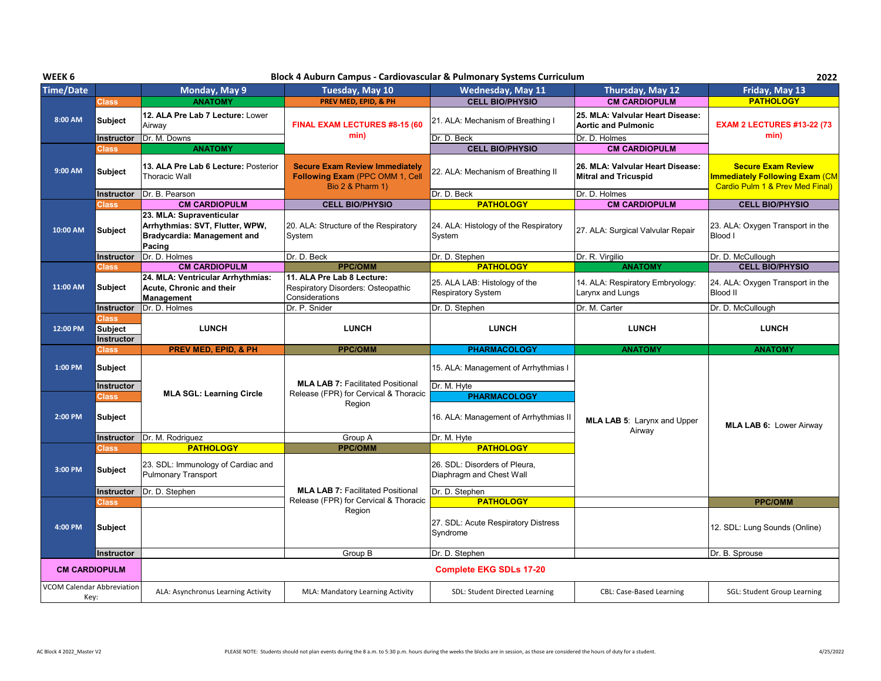| WEEK 6                            |                                | 2022                                                                                                        |                                                                                              |                                                              |                                                                 |                                                                                                       |  |
|-----------------------------------|--------------------------------|-------------------------------------------------------------------------------------------------------------|----------------------------------------------------------------------------------------------|--------------------------------------------------------------|-----------------------------------------------------------------|-------------------------------------------------------------------------------------------------------|--|
| <b>Time/Date</b>                  |                                | Monday, May 9                                                                                               | Tuesday, May 10                                                                              | <b>Wednesday, May 11</b>                                     | Thursday, May 12                                                | Friday, May 13                                                                                        |  |
|                                   | <b>Class</b>                   | <b>ANATOMY</b>                                                                                              | PREV MED, EPID, & PH                                                                         | <b>CELL BIO/PHYSIO</b>                                       | <b>CM CARDIOPULM</b>                                            | <b>PATHOLOGY</b>                                                                                      |  |
| 8:00 AM                           | <b>Subject</b>                 | 12. ALA Pre Lab 7 Lecture: Lower<br>Airway                                                                  | FINAL EXAM LECTURES #8-15 (60                                                                | 21. ALA: Mechanism of Breathing I                            | 25. MLA: Valvular Heart Disease:<br><b>Aortic and Pulmonic</b>  | <b>EXAM 2 LECTURES #13-22 (73)</b>                                                                    |  |
|                                   | Instructor                     | Dr. M. Downs                                                                                                | min)                                                                                         | Dr. D. Beck                                                  | Dr. D. Holmes                                                   | min)                                                                                                  |  |
|                                   | Class                          | <b>ANATOMY</b>                                                                                              |                                                                                              | <b>CELL BIO/PHYSIO</b>                                       | <b>CM CARDIOPULM</b>                                            |                                                                                                       |  |
| 9:00 AM                           | <b>Subject</b>                 | 13. ALA Pre Lab 6 Lecture: Posterior<br><b>Thoracic Wall</b>                                                | <b>Secure Exam Review Immediately</b><br>Following Exam (PPC OMM 1, Cell<br>Bio 2 & Pharm 1) | 22. ALA: Mechanism of Breathing II                           | 26. MLA: Valvular Heart Disease:<br><b>Mitral and Tricuspid</b> | <b>Secure Exam Review</b><br><b>Immediately Following Exam (CM</b><br>Cardio Pulm 1 & Prev Med Final) |  |
|                                   | Instructor                     | Dr. B. Pearson                                                                                              |                                                                                              | Dr. D. Beck                                                  | Dr. D. Holmes                                                   |                                                                                                       |  |
|                                   | <b>Class</b>                   | <b>CM CARDIOPULM</b>                                                                                        | <b>CELL BIO/PHYSIO</b>                                                                       | <b>PATHOLOGY</b>                                             | <b>CM CARDIOPULM</b>                                            | <b>CELL BIO/PHYSIO</b>                                                                                |  |
| 10:00 AM                          | Subject                        | 23. MLA: Supraventicular<br>Arrhythmias: SVT, Flutter, WPW,<br><b>Bradycardia: Management and</b><br>Pacing | 20. ALA: Structure of the Respiratory<br>System                                              | 24. ALA: Histology of the Respiratory<br>System              | 27. ALA: Surgical Valvular Repair                               | 23. ALA: Oxygen Transport in the<br>Blood I                                                           |  |
|                                   | Instructor                     | Dr. D. Holmes                                                                                               | Dr. D. Beck                                                                                  | Dr. D. Stephen                                               | Dr. R. Virgilio                                                 | Dr. D. McCullough                                                                                     |  |
|                                   | Class                          | <b>CM CARDIOPULM</b>                                                                                        | <b>PPC/OMM</b>                                                                               | <b>PATHOLOGY</b>                                             | <b>ANATOMY</b>                                                  | <b>CELL BIO/PHYSIO</b>                                                                                |  |
| 11:00 AM                          | Subject                        | 24. MLA: Ventricular Arrhythmias:<br>Acute, Chronic and their<br>Management                                 | 11. ALA Pre Lab 8 Lecture:<br>Respiratory Disorders: Osteopathic<br>Considerations           | 25. ALA LAB: Histology of the<br><b>Respiratory System</b>   | 14. ALA: Respiratory Embryology:<br>Larynx and Lungs            | 24. ALA: Oxygen Transport in the<br><b>Blood II</b>                                                   |  |
|                                   | Instructor                     | Dr. D. Holmes                                                                                               | Dr. P. Snider                                                                                | Dr. D. Stephen                                               | Dr. M. Carter                                                   | Dr. D. McCullough                                                                                     |  |
| 12:00 PM                          | <b>Class</b><br><b>Subject</b> | <b>LUNCH</b>                                                                                                | <b>LUNCH</b>                                                                                 | <b>LUNCH</b>                                                 | <b>LUNCH</b>                                                    | <b>LUNCH</b>                                                                                          |  |
|                                   | Instructor                     |                                                                                                             |                                                                                              |                                                              |                                                                 |                                                                                                       |  |
|                                   | Class                          | <b>PREV MED, EPID, &amp; PH</b>                                                                             | <b>PPC/OMM</b>                                                                               | <b>PHARMACOLOGY</b>                                          | <b>ANATOMY</b>                                                  | <b>ANATOMY</b>                                                                                        |  |
| 1:00 PM                           | <b>Subject</b>                 |                                                                                                             |                                                                                              | 15. ALA: Management of Arrhythmias I                         |                                                                 |                                                                                                       |  |
|                                   | <b>Instructor</b>              |                                                                                                             | <b>MLA LAB 7: Facilitated Positional</b>                                                     | Dr. M. Hyte                                                  |                                                                 |                                                                                                       |  |
| 2:00 PM                           | Class<br><b>Subject</b>        | <b>MLA SGL: Learning Circle</b>                                                                             | Release (FPR) for Cervical & Thoracic<br>Region                                              | <b>PHARMACOLOGY</b><br>16. ALA: Management of Arrhythmias II | <b>MLA LAB 5: Larynx and Upper</b>                              | <b>MLA LAB 6: Lower Airway</b>                                                                        |  |
|                                   | Instructor                     | Dr. M. Rodriguez                                                                                            | Group A                                                                                      | Dr. M. Hyte                                                  | Airway                                                          |                                                                                                       |  |
|                                   | Class                          | <b>PATHOLOGY</b>                                                                                            | <b>PPC/OMM</b>                                                                               | <b>PATHOLOGY</b>                                             |                                                                 |                                                                                                       |  |
| 3:00 PM                           | <b>Subject</b>                 | 23. SDL: Immunology of Cardiac and<br><b>Pulmonary Transport</b>                                            |                                                                                              | 26. SDL: Disorders of Pleura.<br>Diaphragm and Chest Wall    |                                                                 |                                                                                                       |  |
|                                   | Instructor                     | Dr. D. Stephen                                                                                              | <b>MLA LAB 7: Facilitated Positional</b>                                                     | Dr. D. Stephen                                               |                                                                 |                                                                                                       |  |
|                                   | <b>Class</b>                   |                                                                                                             | Release (FPR) for Cervical & Thoracic                                                        | <b>PATHOLOGY</b>                                             |                                                                 | <b>PPC/OMM</b>                                                                                        |  |
| 4:00 PM                           | <b>Subject</b>                 |                                                                                                             | Region                                                                                       | 27. SDL: Acute Respiratory Distress<br>Syndrome              |                                                                 | 12. SDL: Lung Sounds (Online)                                                                         |  |
|                                   | Instructor                     |                                                                                                             | Group B                                                                                      | Dr. D. Stephen                                               |                                                                 | Dr. B. Sprouse                                                                                        |  |
| <b>VCOM Calendar Abbreviation</b> | <b>CM CARDIOPULM</b>           |                                                                                                             |                                                                                              | <b>Complete EKG SDLs 17-20</b>                               |                                                                 |                                                                                                       |  |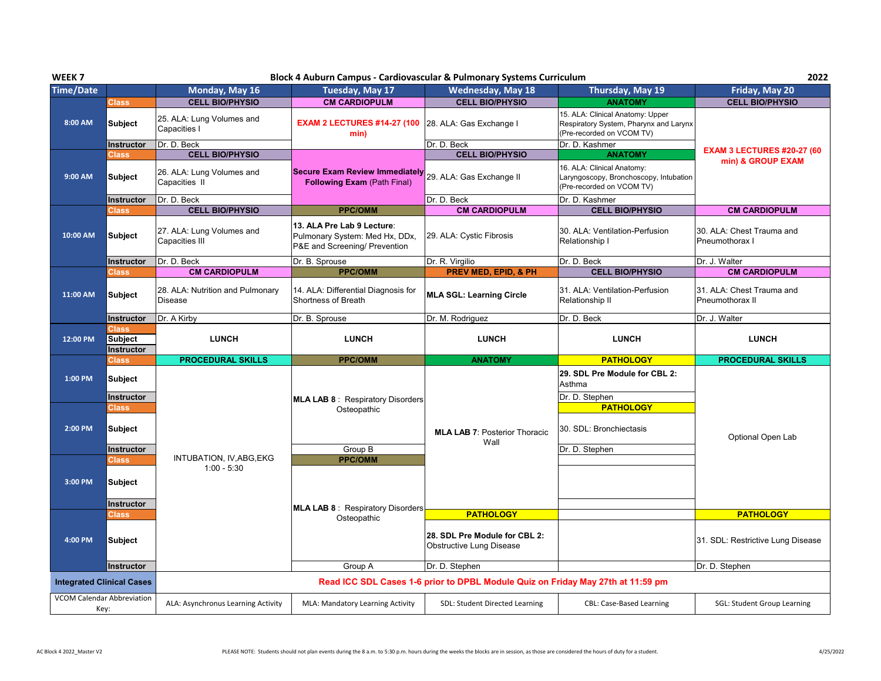| WEEK <sub>7</sub>          |                                                     |                                                                      | Block 4 Auburn Campus - Cardiovascular & Pulmonary Systems Curriculum                         |                                                                                 |                                                                                                                     | 2022                                         |
|----------------------------|-----------------------------------------------------|----------------------------------------------------------------------|-----------------------------------------------------------------------------------------------|---------------------------------------------------------------------------------|---------------------------------------------------------------------------------------------------------------------|----------------------------------------------|
| <b>Time/Date</b>           |                                                     | Monday, May 16                                                       | Tuesday, May 17                                                                               | <b>Wednesday, May 18</b>                                                        | Thursday, May 19                                                                                                    | Friday, May 20                               |
|                            | <b>Class</b>                                        | <b>CELL BIO/PHYSIO</b>                                               | <b>CM CARDIOPULM</b>                                                                          | <b>CELL BIO/PHYSIO</b>                                                          | <b>ANATOMY</b>                                                                                                      | <b>CELL BIO/PHYSIO</b>                       |
| 8:00 AM                    | <b>Subject</b>                                      | 25. ALA: Lung Volumes and<br>Capacities I                            | <b>EXAM 2 LECTURES #14-27 (100</b><br>min)                                                    | 28. ALA: Gas Exchange I                                                         | 15. ALA: Clinical Anatomy: Upper<br>Respiratory System, Pharynx and Larynx<br>(Pre-recorded on VCOM TV)             |                                              |
|                            | Instructor                                          | Dr. D. Beck                                                          |                                                                                               | Dr. D. Beck                                                                     | Dr. D. Kashmer                                                                                                      | <b>EXAM 3 LECTURES #20-27 (60)</b>           |
| 9:00 AM                    | <b>Class</b><br><b>Subject</b>                      | <b>CELL BIO/PHYSIO</b><br>26. ALA: Lung Volumes and<br>Capacities II | <b>Secure Exam Review Immediately</b><br><b>Following Exam (Path Final)</b>                   | <b>CELL BIO/PHYSIO</b><br>29. ALA: Gas Exchange II                              | <b>ANATOMY</b><br>16. ALA: Clinical Anatomy:<br>Laryngoscopy, Bronchoscopy, Intubation<br>(Pre-recorded on VCOM TV) | min) & GROUP EXAM                            |
|                            | Instructor                                          | Dr. D. Beck                                                          |                                                                                               | Dr. D. Beck                                                                     | Dr. D. Kashmer                                                                                                      |                                              |
|                            | Class                                               | <b>CELL BIO/PHYSIO</b>                                               | <b>PPC/OMM</b>                                                                                | <b>CM CARDIOPULM</b>                                                            | <b>CELL BIO/PHYSIO</b>                                                                                              | <b>CM CARDIOPULM</b>                         |
| 10:00 AM                   | <b>Subject</b>                                      | 27. ALA: Lung Volumes and<br><b>Capacities III</b>                   | 13. ALA Pre Lab 9 Lecture:<br>Pulmonary System: Med Hx, DDx,<br>P&E and Screening/ Prevention | 29. ALA: Cystic Fibrosis                                                        | 30. ALA: Ventilation-Perfusion<br>Relationship I                                                                    | 30. ALA: Chest Trauma and<br>Pneumothorax I  |
|                            | <b>Instructor</b>                                   | Dr. D. Beck                                                          | Dr. B. Sprouse                                                                                | Dr. R. Virgilio                                                                 | Dr. D. Beck                                                                                                         | Dr. J. Walter                                |
|                            | <b>Class</b>                                        | <b>CM CARDIOPULM</b>                                                 | <b>PPC/OMM</b>                                                                                | <b>PREV MED, EPID, &amp; PH</b>                                                 | <b>CELL BIO/PHYSIO</b>                                                                                              | <b>CM CARDIOPULM</b>                         |
| 11:00 AM                   | Subject                                             | 28. ALA: Nutrition and Pulmonary<br><b>Disease</b>                   | 14. ALA: Differential Diagnosis for<br>Shortness of Breath                                    | <b>MLA SGL: Learning Circle</b>                                                 | 31. ALA: Ventilation-Perfusion<br>Relationship II                                                                   | 31. ALA: Chest Trauma and<br>Pneumothorax II |
|                            | <b>Instructor</b>                                   | Dr. A Kirby                                                          | Dr. B. Sprouse                                                                                | Dr. M. Rodriguez                                                                | Dr. D. Beck                                                                                                         | Dr. J. Walter                                |
| 12:00 PM                   | <b>Class</b><br><b>Subject</b>                      | <b>LUNCH</b>                                                         | <b>LUNCH</b>                                                                                  | <b>LUNCH</b>                                                                    | <b>LUNCH</b>                                                                                                        | <b>LUNCH</b>                                 |
|                            | <b>Instructor</b>                                   |                                                                      |                                                                                               |                                                                                 |                                                                                                                     |                                              |
|                            | <b>Class</b>                                        | <b>PROCEDURAL SKILLS</b>                                             | <b>PPC/OMM</b>                                                                                | <b>ANATOMY</b>                                                                  | <b>PATHOLOGY</b>                                                                                                    | <b>PROCEDURAL SKILLS</b>                     |
| 1:00 PM                    | <b>Subject</b><br>Instructor                        |                                                                      |                                                                                               |                                                                                 | 29. SDL Pre Module for CBL 2:<br>Asthma<br>Dr. D. Stephen                                                           |                                              |
| 2:00 PM                    | <b>Class</b><br><b>Subject</b><br><b>Instructor</b> |                                                                      | <b>MLA LAB 8: Respiratory Disorders</b><br>Osteopathic<br>Group B                             | <b>MLA LAB 7: Posterior Thoracic</b><br>Wall                                    | <b>PATHOLOGY</b><br>30. SDL: Bronchiectasis<br>Dr. D. Stephen                                                       | Optional Open Lab                            |
| 3:00 PM                    | <b>Class</b><br><b>Subject</b><br><b>Instructor</b> | INTUBATION, IV, ABG, EKG<br>$1:00 - 5:30$                            | <b>PPC/OMM</b>                                                                                |                                                                                 |                                                                                                                     |                                              |
|                            | <b>Class</b>                                        |                                                                      | <b>MLA LAB 8: Respiratory Disorders</b>                                                       | <b>PATHOLOGY</b>                                                                |                                                                                                                     | <b>PATHOLOGY</b>                             |
| 4:00 PM                    | <b>Subject</b>                                      |                                                                      | Osteopathic                                                                                   | 28. SDL Pre Module for CBL 2:<br><b>Obstructive Lung Disease</b>                |                                                                                                                     | 31. SDL: Restrictive Lung Disease            |
|                            | Instructor                                          |                                                                      | Group A                                                                                       | Dr. D. Stephen                                                                  |                                                                                                                     | Dr. D. Stephen                               |
| VCOM Calendar Abbreviation | <b>Integrated Clinical Cases</b>                    |                                                                      |                                                                                               | Read ICC SDL Cases 1-6 prior to DPBL Module Quiz on Friday May 27th at 11:59 pm |                                                                                                                     |                                              |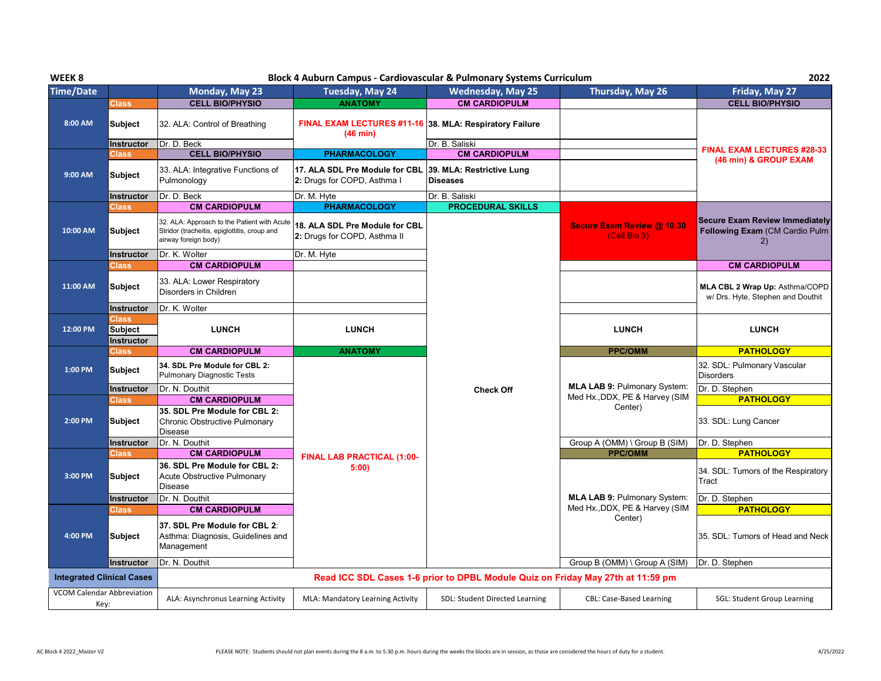| WEEK <sub>8</sub> |                                  |                                                                                                                     | Block 4 Auburn Campus - Cardiovascular & Pulmonary Systems Curriculum |                                                                                 |                                                   | 2022                                                                          |
|-------------------|----------------------------------|---------------------------------------------------------------------------------------------------------------------|-----------------------------------------------------------------------|---------------------------------------------------------------------------------|---------------------------------------------------|-------------------------------------------------------------------------------|
| <b>Time/Date</b>  |                                  | Monday, May 23                                                                                                      | Tuesday, May 24                                                       | <b>Wednesday, May 25</b>                                                        | Thursday, May 26                                  | Friday, May 27                                                                |
|                   | Class                            | <b>CELL BIO/PHYSIO</b>                                                                                              | <b>ANATOMY</b>                                                        | <b>CM CARDIOPULM</b>                                                            |                                                   | <b>CELL BIO/PHYSIO</b>                                                        |
| 8:00 AM           | <b>Subject</b>                   | 32. ALA: Control of Breathing                                                                                       | <b>FINAL EXAM LECTURES #11-16</b><br>$(46 \text{ min})$               | 38. MLA: Respiratory Failure                                                    |                                                   |                                                                               |
|                   | <b>Instructor</b>                | Dr. D. Beck                                                                                                         |                                                                       | Dr. B. Saliski                                                                  |                                                   | <b>FINAL EXAM LECTURES #28-33</b>                                             |
|                   | Class                            | <b>CELL BIO/PHYSIO</b>                                                                                              | <b>PHARMACOLOGY</b>                                                   | <b>CM CARDIOPULM</b>                                                            |                                                   | (46 min) & GROUP EXAM                                                         |
| 9:00 AM           | <b>Subject</b>                   | 33. ALA: Integrative Functions of<br>Pulmonology                                                                    | 17. ALA SDL Pre Module for CBL<br>2: Drugs for COPD, Asthma I         | 39. MLA: Restrictive Lung<br><b>Diseases</b>                                    |                                                   |                                                                               |
|                   | <b>Instructor</b>                | Dr. D. Beck                                                                                                         | Dr. M. Hyte                                                           | Dr. B. Saliski                                                                  |                                                   |                                                                               |
|                   | Class                            | <b>CM CARDIOPULM</b>                                                                                                | <b>PHARMACOLOGY</b>                                                   | <b>PROCEDURAL SKILLS</b>                                                        |                                                   |                                                                               |
| 10:00 AM          | <b>Subject</b>                   | 32. ALA: Approach to the Patient with Acute<br>Stridor (tracheitis, epiglottitis, croup and<br>airway foreign body) | 18. ALA SDL Pre Module for CBL<br>2: Drugs for COPD, Asthma II        |                                                                                 | <b>Secure Exam Review @ 10:30</b><br>(Cell Bio 3) | <b>Secure Exam Review Immediately</b><br>Following Exam (CM Cardio Pulm<br>2) |
|                   | <b>Instructor</b>                | Dr. K. Wolter                                                                                                       | Dr. M. Hyte                                                           |                                                                                 |                                                   |                                                                               |
|                   | ડેlass                           | <b>CM CARDIOPULM</b>                                                                                                |                                                                       |                                                                                 |                                                   | <b>CM CARDIOPULM</b>                                                          |
| 11:00 AM          | <b>Subject</b>                   | 33. ALA: Lower Respiratory<br>Disorders in Children                                                                 |                                                                       |                                                                                 |                                                   | MLA CBL 2 Wrap Up: Asthma/COPD<br>w/ Drs. Hyte, Stephen and Douthit           |
|                   | <b>Instructor</b>                | Dr. K. Wolter                                                                                                       |                                                                       |                                                                                 |                                                   |                                                                               |
|                   | Class                            |                                                                                                                     |                                                                       |                                                                                 |                                                   |                                                                               |
| 12:00 PM          | <b>Subject</b>                   | <b>LUNCH</b>                                                                                                        | <b>LUNCH</b>                                                          |                                                                                 | <b>LUNCH</b>                                      | <b>LUNCH</b>                                                                  |
|                   |                                  |                                                                                                                     |                                                                       |                                                                                 |                                                   |                                                                               |
|                   | Instructor                       |                                                                                                                     |                                                                       |                                                                                 |                                                   |                                                                               |
|                   | Class                            | <b>CM CARDIOPULM</b>                                                                                                | <b>ANATOMY</b>                                                        |                                                                                 | <b>PPC/OMM</b>                                    | <b>PATHOLOGY</b>                                                              |
| 1:00 PM           | Subject                          | 34. SDL Pre Module for CBL 2:<br><b>Pulmonary Diagnostic Tests</b>                                                  |                                                                       |                                                                                 |                                                   | 32. SDL: Pulmonary Vascular<br><b>Disorders</b>                               |
|                   | Instructor                       | Dr. N. Douthit                                                                                                      |                                                                       | <b>Check Off</b>                                                                | <b>MLA LAB 9: Pulmonary System:</b>               | Dr. D. Stephen                                                                |
|                   | Class                            | <b>CM CARDIOPULM</b>                                                                                                |                                                                       |                                                                                 | Med Hx., DDX, PE & Harvey (SIM                    | <b>PATHOLOGY</b>                                                              |
| 2:00 PM           | <b>Subject</b>                   | 35. SDL Pre Module for CBL 2:<br>Chronic Obstructive Pulmonary                                                      |                                                                       |                                                                                 | Center)                                           | 33. SDL: Lung Cancer                                                          |
|                   |                                  | <b>Disease</b>                                                                                                      |                                                                       |                                                                                 |                                                   |                                                                               |
|                   | <b>Instructor</b>                | Dr. N. Douthit                                                                                                      |                                                                       |                                                                                 | Group A (OMM) \ Group B (SIM)                     | Dr. D. Stephen                                                                |
|                   | Class                            | <b>CM CARDIOPULM</b>                                                                                                | FINAL LAB PRACTICAL (1:00-                                            |                                                                                 | <b>PPC/OMM</b>                                    | <b>PATHOLOGY</b>                                                              |
| 3:00 PM           | <b>Subject</b>                   | 36. SDL Pre Module for CBL 2:<br>Acute Obstructive Pulmonary<br><b>Disease</b>                                      | 5:00                                                                  |                                                                                 |                                                   | 34. SDL: Tumors of the Respiratory<br>Tract                                   |
|                   |                                  |                                                                                                                     |                                                                       |                                                                                 | <b>MLA LAB 9: Pulmonary System:</b>               |                                                                               |
|                   | Instructor<br>Class              | Dr. N. Douthit<br><b>CM CARDIOPULM</b>                                                                              |                                                                       |                                                                                 | Med Hx., DDX, PE & Harvey (SIM                    | Dr. D. Stephen<br><b>PATHOLOGY</b>                                            |
| 4:00 PM           | <b>Subject</b>                   | 37. SDL Pre Module for CBL 2:<br>Asthma: Diagnosis, Guidelines and<br>Management                                    |                                                                       |                                                                                 | Center)                                           | 35. SDL: Tumors of Head and Neck                                              |
|                   | Instructor                       | Dr. N. Douthit                                                                                                      |                                                                       |                                                                                 | Group B (OMM) \ Group A (SIM)                     | Dr. D. Stephen                                                                |
|                   | <b>Integrated Clinical Cases</b> |                                                                                                                     |                                                                       | Read ICC SDL Cases 1-6 prior to DPBL Module Quiz on Friday May 27th at 11:59 pm |                                                   |                                                                               |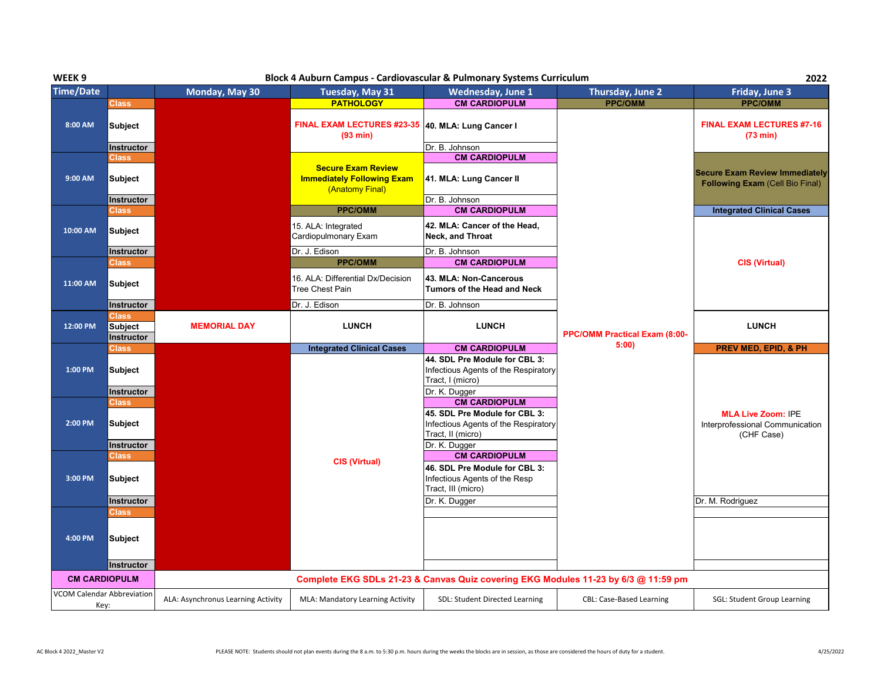| WEEK <sub>9</sub>    |                                       |                     | Block 4 Auburn Campus - Cardiovascular & Pulmonary Systems Curriculum             |                                                                                                                                     |                               | 2022                                                                            |
|----------------------|---------------------------------------|---------------------|-----------------------------------------------------------------------------------|-------------------------------------------------------------------------------------------------------------------------------------|-------------------------------|---------------------------------------------------------------------------------|
| <b>Time/Date</b>     |                                       | Monday, May 30      | Tuesday, May 31                                                                   | <b>Wednesday, June 1</b>                                                                                                            | Thursday, June 2              | Friday, June 3                                                                  |
|                      | <b>Class</b>                          |                     | <b>PATHOLOGY</b>                                                                  | <b>CM CARDIOPULM</b>                                                                                                                | <b>PPC/OMM</b>                | <b>PPC/OMM</b>                                                                  |
| 8:00 AM              | <b>Subject</b>                        |                     | FINAL EXAM LECTURES #23-35 40. MLA: Lung Cancer I<br>(93 min)                     |                                                                                                                                     |                               | <b>FINAL EXAM LECTURES #7-16</b><br>(73 min)                                    |
|                      | Instructor                            |                     |                                                                                   | Dr. B. Johnson                                                                                                                      |                               |                                                                                 |
| 9:00 AM              | Class<br><b>Subject</b>               |                     | <b>Secure Exam Review</b><br><b>Immediately Following Exam</b><br>(Anatomy Final) | <b>CM CARDIOPULM</b><br>41. MLA: Lung Cancer II                                                                                     |                               | <b>Secure Exam Review Immediately</b><br><b>Following Exam (Cell Bio Final)</b> |
|                      | <b>Instructor</b>                     |                     |                                                                                   | Dr. B. Johnson                                                                                                                      |                               |                                                                                 |
|                      | Class                                 |                     | <b>PPC/OMM</b>                                                                    | <b>CM CARDIOPULM</b>                                                                                                                |                               | <b>Integrated Clinical Cases</b>                                                |
| 10:00 AM             | Subject                               |                     | 15. ALA: Integrated<br>Cardiopulmonary Exam                                       | 42. MLA: Cancer of the Head,<br>Neck, and Throat                                                                                    |                               |                                                                                 |
|                      | Instructor                            |                     | Dr. J. Edison                                                                     | Dr. B. Johnson                                                                                                                      |                               |                                                                                 |
|                      | <b>Class</b>                          |                     | <b>PPC/OMM</b>                                                                    | <b>CM CARDIOPULM</b>                                                                                                                |                               | <b>CIS (Virtual)</b>                                                            |
| 11:00 AM             | <b>Subject</b>                        |                     | 16. ALA: Differential Dx/Decision<br>Tree Chest Pain                              | 43. MLA: Non-Cancerous<br>Tumors of the Head and Neck                                                                               |                               |                                                                                 |
|                      | Instructor                            |                     | Dr. J. Edison                                                                     | Dr. B. Johnson                                                                                                                      |                               |                                                                                 |
| 12:00 PM             | Class<br><b>Subject</b><br>Instructor | <b>MEMORIAL DAY</b> | <b>LUNCH</b>                                                                      | <b>LUNCH</b>                                                                                                                        | PPC/OMM Practical Exam (8:00- | <b>LUNCH</b>                                                                    |
|                      | <b>Class</b>                          |                     | <b>Integrated Clinical Cases</b>                                                  | <b>CM CARDIOPULM</b>                                                                                                                | 5:00                          | PREV MED, EPID, & PH                                                            |
| 1:00 PM              | <b>Subject</b><br><b>Instructor</b>   |                     |                                                                                   | 44. SDL Pre Module for CBL 3:<br>Infectious Agents of the Respiratory<br>Tract, I (micro)                                           |                               |                                                                                 |
|                      |                                       |                     |                                                                                   |                                                                                                                                     |                               |                                                                                 |
| 2:00 PM              | Class<br><b>Subject</b>               |                     |                                                                                   | Dr. K. Dugger<br><b>CM CARDIOPULM</b><br>45. SDL Pre Module for CBL 3:<br>Infectious Agents of the Respiratory<br>Tract, II (micro) |                               | <b>MLA Live Zoom: IPE</b><br>Interprofessional Communication<br>(CHF Case)      |
|                      | Instructor<br><b>Class</b>            |                     |                                                                                   | Dr. K. Dugger<br><b>CM CARDIOPULM</b>                                                                                               |                               |                                                                                 |
| 3:00 PM              | <b>Subject</b>                        |                     | <b>CIS (Virtual)</b>                                                              | 46. SDL Pre Module for CBL 3:<br>Infectious Agents of the Resp<br>Tract, III (micro)                                                |                               |                                                                                 |
|                      | Instructor                            |                     |                                                                                   | Dr. K. Dugger                                                                                                                       |                               | Dr. M. Rodriguez                                                                |
| 4:00 PM              | Class<br><b>Subject</b>               |                     |                                                                                   |                                                                                                                                     |                               |                                                                                 |
|                      | Instructor                            |                     |                                                                                   |                                                                                                                                     |                               |                                                                                 |
| <b>CM CARDIOPULM</b> |                                       |                     |                                                                                   | Complete EKG SDLs 21-23 & Canvas Quiz covering EKG Modules 11-23 by 6/3 @ 11:59 pm                                                  |                               |                                                                                 |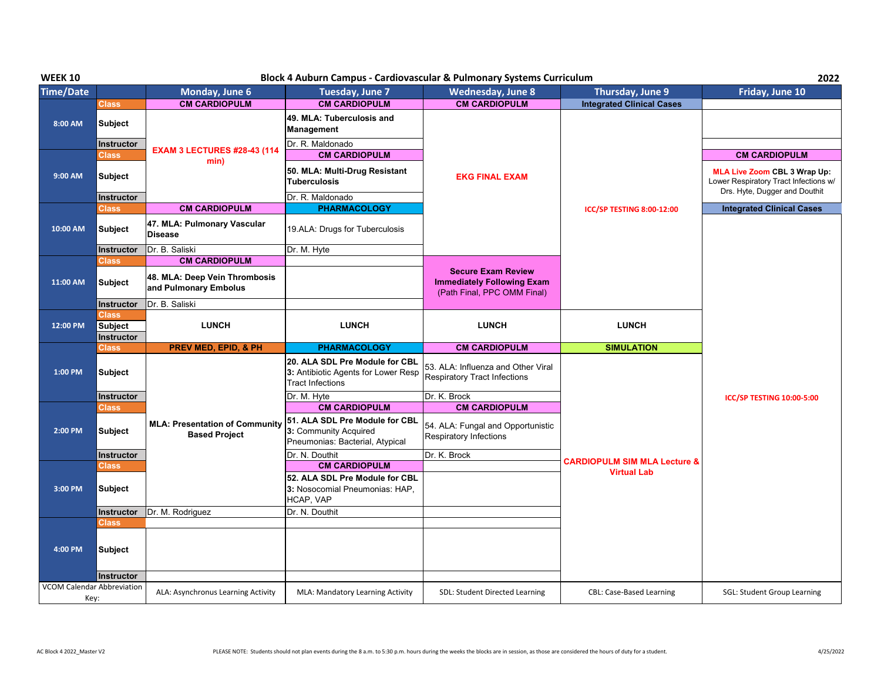| <b>WEEK 10</b>                               |                                                     |                                                               | Block 4 Auburn Campus - Cardiovascular & Pulmonary Systems Curriculum                                                   |                                                                                                   |                                                               | 2022                                                                                                          |
|----------------------------------------------|-----------------------------------------------------|---------------------------------------------------------------|-------------------------------------------------------------------------------------------------------------------------|---------------------------------------------------------------------------------------------------|---------------------------------------------------------------|---------------------------------------------------------------------------------------------------------------|
| <b>Time/Date</b>                             |                                                     | Monday, June 6                                                | Tuesday, June 7                                                                                                         | <b>Wednesday, June 8</b>                                                                          | Thursday, June 9                                              | Friday, June 10                                                                                               |
|                                              | <b>Class</b>                                        | <b>CM CARDIOPULM</b>                                          | <b>CM CARDIOPULM</b>                                                                                                    | <b>CM CARDIOPULM</b>                                                                              | <b>Integrated Clinical Cases</b>                              |                                                                                                               |
| 8:00 AM                                      | <b>Subject</b>                                      |                                                               | 49. MLA: Tuberculosis and<br>Management                                                                                 |                                                                                                   |                                                               |                                                                                                               |
|                                              | <b>Instructor</b><br>Class                          | <b>EXAM 3 LECTURES #28-43 (114</b><br>min)                    | Dr. R. Maldonado<br><b>CM CARDIOPULM</b>                                                                                |                                                                                                   |                                                               | <b>CM CARDIOPULM</b>                                                                                          |
| 9:00 AM                                      | Subject                                             |                                                               | 50. MLA: Multi-Drug Resistant<br><b>Tuberculosis</b>                                                                    | <b>EKG FINAL EXAM</b>                                                                             |                                                               | <b>MLA Live Zoom CBL 3 Wrap Up:</b><br>Lower Respiratory Tract Infections w/<br>Drs. Hyte, Dugger and Douthit |
|                                              | Instructor                                          |                                                               | Dr. R. Maldonado                                                                                                        |                                                                                                   |                                                               |                                                                                                               |
|                                              | Class                                               | <b>CM CARDIOPULM</b>                                          | <b>PHARMACOLOGY</b>                                                                                                     |                                                                                                   | <b>ICC/SP TESTING 8:00-12:00</b>                              | <b>Integrated Clinical Cases</b>                                                                              |
| 10:00 AM                                     | <b>Subject</b>                                      | 47. MLA: Pulmonary Vascular<br><b>Disease</b>                 | 19.ALA: Drugs for Tuberculosis                                                                                          |                                                                                                   |                                                               |                                                                                                               |
|                                              | <b>Instructor</b>                                   | Dr. B. Saliski                                                | Dr. M. Hyte                                                                                                             |                                                                                                   |                                                               |                                                                                                               |
|                                              | Class                                               | <b>CM CARDIOPULM</b>                                          |                                                                                                                         |                                                                                                   |                                                               |                                                                                                               |
| 11:00 AM                                     | <b>Subject</b>                                      | 48. MLA: Deep Vein Thrombosis<br>and Pulmonary Embolus        |                                                                                                                         | <b>Secure Exam Review</b><br><b>Immediately Following Exam</b><br>(Path Final, PPC OMM Final)     |                                                               |                                                                                                               |
|                                              | <b>Instructor</b>                                   | Dr. B. Saliski                                                |                                                                                                                         |                                                                                                   |                                                               |                                                                                                               |
|                                              | <b>Class</b>                                        |                                                               |                                                                                                                         |                                                                                                   |                                                               |                                                                                                               |
| 12:00 PM                                     | <b>Subject</b>                                      | <b>LUNCH</b>                                                  | <b>LUNCH</b>                                                                                                            | <b>LUNCH</b>                                                                                      | <b>LUNCH</b>                                                  |                                                                                                               |
|                                              |                                                     |                                                               |                                                                                                                         |                                                                                                   |                                                               |                                                                                                               |
|                                              | Instructor                                          |                                                               |                                                                                                                         |                                                                                                   |                                                               |                                                                                                               |
| 1:00 PM                                      | Class<br><b>Subject</b>                             | <b>PREV MED, EPID, &amp; PH</b>                               | <b>PHARMACOLOGY</b><br>20. ALA SDL Pre Module for CBL<br>3: Antibiotic Agents for Lower Resp<br><b>Tract Infections</b> | <b>CM CARDIOPULM</b><br>53. ALA: Influenza and Other Viral<br><b>Respiratory Tract Infections</b> | <b>SIMULATION</b>                                             |                                                                                                               |
|                                              | <b>Instructor</b>                                   |                                                               | Dr. M. Hyte                                                                                                             | Dr. K. Brock                                                                                      |                                                               |                                                                                                               |
|                                              | Class                                               |                                                               | <b>CM CARDIOPULM</b>                                                                                                    | <b>CM CARDIOPULM</b>                                                                              |                                                               | ICC/SP TESTING 10:00-5:00                                                                                     |
| 2:00 PM                                      | <b>Subject</b>                                      | <b>MLA: Presentation of Community</b><br><b>Based Project</b> | 51. ALA SDL Pre Module for CBL<br>3: Community Acquired<br>Pneumonias: Bacterial, Atypical                              | 54. ALA: Fungal and Opportunistic<br>Respiratory Infections                                       |                                                               |                                                                                                               |
|                                              | <b>Instructor</b>                                   |                                                               | Dr. N. Douthit                                                                                                          | Dr. K. Brock                                                                                      |                                                               |                                                                                                               |
| 3:00 PM                                      | <b>Class</b><br><b>Subject</b>                      |                                                               | <b>CM CARDIOPULM</b><br>52. ALA SDL Pre Module for CBL<br>3: Nosocomial Pneumonias: HAP,<br>HCAP, VAP                   |                                                                                                   | <b>CARDIOPULM SIM MLA Lecture &amp;</b><br><b>Virtual Lab</b> |                                                                                                               |
|                                              | Instructor                                          | Dr. M. Rodriguez                                              | Dr. N. Douthit                                                                                                          |                                                                                                   |                                                               |                                                                                                               |
| 4:00 PM<br><b>VCOM Calendar Abbreviation</b> | <b>Class</b><br><b>Subject</b><br><b>Instructor</b> |                                                               |                                                                                                                         |                                                                                                   |                                                               |                                                                                                               |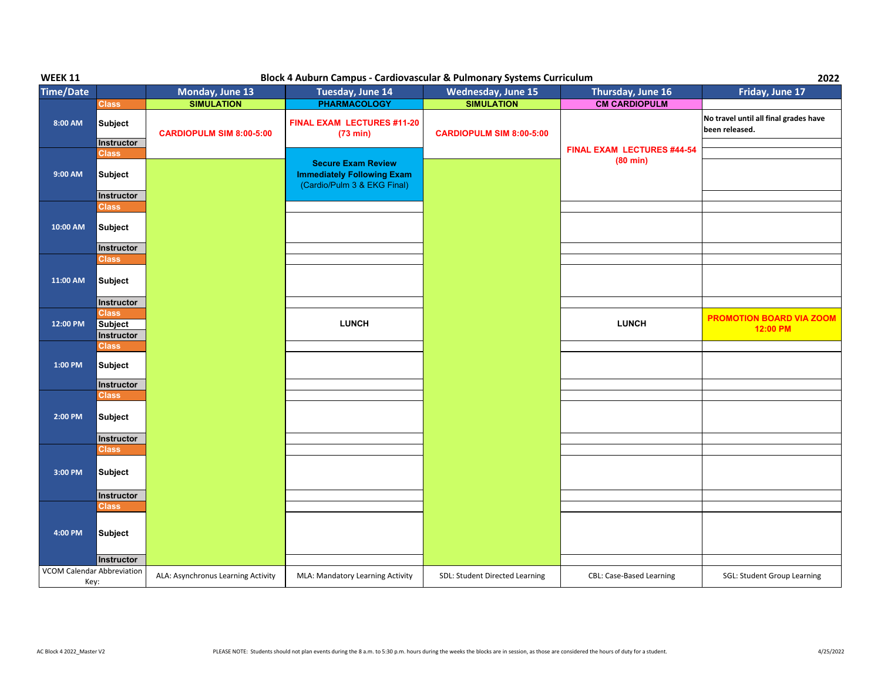| <b>WEEK 11</b>                            | Block 4 Auburn Campus - Cardiovascular & Pulmonary Systems Curriculum<br>2022 |                                    |                                                                                               |                                 |                                   |                                                         |  |
|-------------------------------------------|-------------------------------------------------------------------------------|------------------------------------|-----------------------------------------------------------------------------------------------|---------------------------------|-----------------------------------|---------------------------------------------------------|--|
| <b>Time/Date</b>                          |                                                                               | Monday, June 13                    | Tuesday, June 14                                                                              | Wednesday, June 15              | Thursday, June 16                 | Friday, June 17                                         |  |
|                                           | <b>Class</b>                                                                  | <b>SIMULATION</b>                  | <b>PHARMACOLOGY</b>                                                                           | <b>SIMULATION</b>               | <b>CM CARDIOPULM</b>              |                                                         |  |
| 8:00 AM                                   | <b>Subject</b><br><b>Instructor</b>                                           | <b>CARDIOPULM SIM 8:00-5:00</b>    | FINAL EXAM LECTURES #11-20<br>(73 min)                                                        | <b>CARDIOPULM SIM 8:00-5:00</b> |                                   | No travel until all final grades have<br>been released. |  |
|                                           | <b>Class</b>                                                                  |                                    |                                                                                               |                                 | <b>FINAL EXAM LECTURES #44-54</b> |                                                         |  |
| 9:00 AM                                   | Subject                                                                       |                                    | <b>Secure Exam Review</b><br><b>Immediately Following Exam</b><br>(Cardio/Pulm 3 & EKG Final) |                                 | $(80 \text{ min})$                |                                                         |  |
|                                           | <b>Instructor</b>                                                             |                                    |                                                                                               |                                 |                                   |                                                         |  |
| 10:00 AM                                  | Class<br><b>Subject</b>                                                       |                                    |                                                                                               |                                 |                                   |                                                         |  |
|                                           | Instructor                                                                    |                                    |                                                                                               |                                 |                                   |                                                         |  |
|                                           | Class                                                                         |                                    |                                                                                               |                                 |                                   |                                                         |  |
| 11:00 AM                                  | <b>Subject</b>                                                                |                                    |                                                                                               |                                 |                                   |                                                         |  |
|                                           | Instructor                                                                    |                                    |                                                                                               |                                 |                                   |                                                         |  |
| 12:00 PM                                  | <b>Class</b><br><b>Subject</b><br>Instructor                                  |                                    | <b>LUNCH</b>                                                                                  |                                 | <b>LUNCH</b>                      | <b>PROMOTION BOARD VIA ZOOM</b><br>12:00 PM             |  |
|                                           | Class                                                                         |                                    |                                                                                               |                                 |                                   |                                                         |  |
| 1:00 PM                                   | <b>Subject</b>                                                                |                                    |                                                                                               |                                 |                                   |                                                         |  |
|                                           | Instructor                                                                    |                                    |                                                                                               |                                 |                                   |                                                         |  |
|                                           | <b>Class</b>                                                                  |                                    |                                                                                               |                                 |                                   |                                                         |  |
| $2:00$ PM                                 | Subject                                                                       |                                    |                                                                                               |                                 |                                   |                                                         |  |
|                                           | Instructor                                                                    |                                    |                                                                                               |                                 |                                   |                                                         |  |
| $3:00$ PM                                 | <b>Class</b><br><b>Subject</b>                                                |                                    |                                                                                               |                                 |                                   |                                                         |  |
|                                           |                                                                               |                                    |                                                                                               |                                 |                                   |                                                         |  |
|                                           | Instructor                                                                    |                                    |                                                                                               |                                 |                                   |                                                         |  |
| 4:00 PM                                   | <b>Class</b><br>Subject                                                       |                                    |                                                                                               |                                 |                                   |                                                         |  |
|                                           |                                                                               |                                    |                                                                                               |                                 |                                   |                                                         |  |
|                                           | Instructor                                                                    |                                    |                                                                                               |                                 |                                   |                                                         |  |
| <b>VCOM Calendar Abbreviation</b><br>Key: |                                                                               | ALA: Asynchronus Learning Activity | MLA: Mandatory Learning Activity                                                              | SDL: Student Directed Learning  | CBL: Case-Based Learning          | SGL: Student Group Learning                             |  |